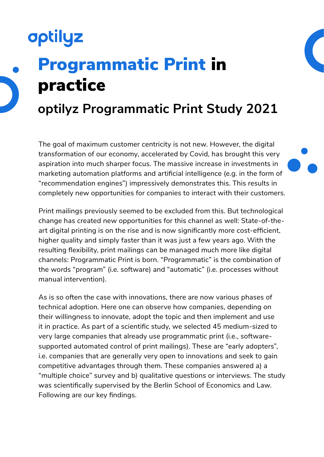# **optilyz** Programmatic Print in practice **optilyz Programmatic Print Study 2021**

The goal of maximum customer centricity is not new. However, the digital transformation of our economy, accelerated by Covid, has brought this very aspiration into much sharper focus. The massive increase in investments in marketing automation platforms and artificial intelligence (e.g. in the form of "recommendation engines") impressively demonstrates this. This results in completely new opportunities for companies to interact with their customers.

Print mailings previously seemed to be excluded from this. But technological change has created new opportunities for this channel as well: State-of-theart digital printing is on the rise and is now significantly more cost-efficient, higher quality and simply faster than it was just a few years ago. With the resulting flexibility, print mailings can be managed much more like digital channels: Programmatic Print is born. "Programmatic" is the combination of the words "program" (i.e. software) and "automatic" (i.e. processes without manual intervention).

As is so often the case with innovations, there are now various phases of technical adoption. Here one can observe how companies, depending on their willingness to innovate, adopt the topic and then implement and use it in practice. As part of a scientific study, we selected 45 medium-sized to very large companies that already use programmatic print (i.e., softwaresupported automated control of print mailings). These are "early adopters", i.e. companies that are generally very open to innovations and seek to gain competitive advantages through them. These companies answered a) a "multiple choice" survey and b) qualitative questions or interviews. The study was scientifically supervised by the Berlin School of Economics and Law. Following are our key findings.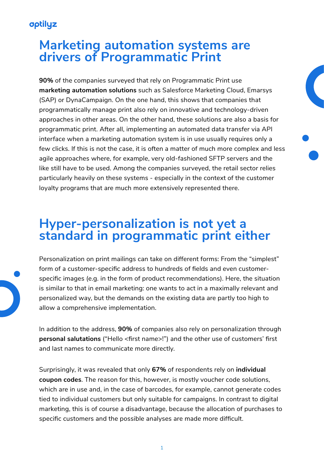### **Marketing automation systems are drivers of Programmatic Print**

**90%** of the companies surveyed that rely on Programmatic Print use **marketing automation solutions** such as Salesforce Marketing Cloud, Emarsys (SAP) or DynaCampaign. On the one hand, this shows that companies that programmatically manage print also rely on innovative and technology-driven approaches in other areas. On the other hand, these solutions are also a basis for programmatic print. After all, implementing an automated data transfer via API interface when a marketing automation system is in use usually requires only a few clicks. If this is not the case, it is often a matter of much more complex and less agile approaches where, for example, very old-fashioned SFTP servers and the like still have to be used. Among the companies surveyed, the retail sector relies particularly heavily on these systems - especially in the context of the customer loyalty programs that are much more extensively represented there.

### **Hyper-personalization is not yet a standard in programmatic print either**

Personalization on print mailings can take on different forms: From the "simplest" form of a customer-specific address to hundreds of fields and even customerspecific images (e.g. in the form of product recommendations). Here, the situation is similar to that in email marketing: one wants to act in a maximally relevant and personalized way, but the demands on the existing data are partly too high to allow a comprehensive implementation.

In addition to the address, **90%** of companies also rely on personalization through **personal salutations** ("Hello <first name>!") and the other use of customers' first and last names to communicate more directly.

Surprisingly, it was revealed that only **67%** of respondents rely on **individual coupon codes**. The reason for this, however, is mostly voucher code solutions, which are in use and, in the case of barcodes, for example, cannot generate codes tied to individual customers but only suitable for campaigns. In contrast to digital marketing, this is of course a disadvantage, because the allocation of purchases to specific customers and the possible analyses are made more difficult.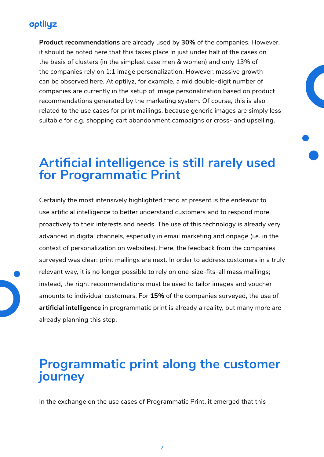**Product recommendations** are already used by **30%** of the companies. However, it should be noted here that this takes place in just under half of the cases on the basis of clusters (in the simplest case men & women) and only 13% of the companies rely on 1:1 image personalization. However, massive growth can be observed here. At optilyz, for example, a mid double-digit number of companies are currently in the setup of image personalization based on product recommendations generated by the marketing system. Of course, this is also related to the use cases for print mailings, because generic images are simply less suitable for e.g. shopping cart abandonment campaigns or cross- and upselling.

### **Artificial intelligence is still rarely used for Programmatic Print**

Certainly the most intensively highlighted trend at present is the endeavor to use artificial intelligence to better understand customers and to respond more proactively to their interests and needs. The use of this technology is already very advanced in digital channels, especially in email marketing and onpage (i.e. in the context of personalization on websites). Here, the feedback from the companies surveyed was clear: print mailings are next. In order to address customers in a truly relevant way, it is no longer possible to rely on one-size-fits-all mass mailings; instead, the right recommendations must be used to tailor images and voucher amounts to individual customers. For **15%** of the companies surveyed, the use of **artificial intelligence** in programmatic print is already a reality, but many more are already planning this step.

### **Programmatic print along the customer journey**

In the exchange on the use cases of Programmatic Print, it emerged that this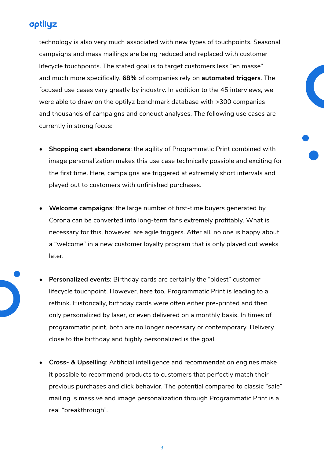technology is also very much associated with new types of touchpoints. Seasonal campaigns and mass mailings are being reduced and replaced with customer lifecycle touchpoints. The stated goal is to target customers less "en masse" and much more specifically. **68%** of companies rely on **automated triggers**. The focused use cases vary greatly by industry. In addition to the 45 interviews, we were able to draw on the optilyz benchmark database with >300 companies and thousands of campaigns and conduct analyses. The following use cases are currently in strong focus:

- **• Shopping cart abandoners**: the agility of Programmatic Print combined with image personalization makes this use case technically possible and exciting for the first time. Here, campaigns are triggered at extremely short intervals and played out to customers with unfinished purchases.
- **• Welcome campaigns**: the large number of first-time buyers generated by Corona can be converted into long-term fans extremely profitably. What is necessary for this, however, are agile triggers. After all, no one is happy about a "welcome" in a new customer loyalty program that is only played out weeks later.
- **• Personalized events**: Birthday cards are certainly the "oldest" customer lifecycle touchpoint. However, here too, Programmatic Print is leading to a rethink. Historically, birthday cards were often either pre-printed and then only personalized by laser, or even delivered on a monthly basis. In times of programmatic print, both are no longer necessary or contemporary. Delivery close to the birthday and highly personalized is the goal.
	- **• Cross- & Upselling**: Artificial intelligence and recommendation engines make it possible to recommend products to customers that perfectly match their previous purchases and click behavior. The potential compared to classic "sale" mailing is massive and image personalization through Programmatic Print is a real "breakthrough".

3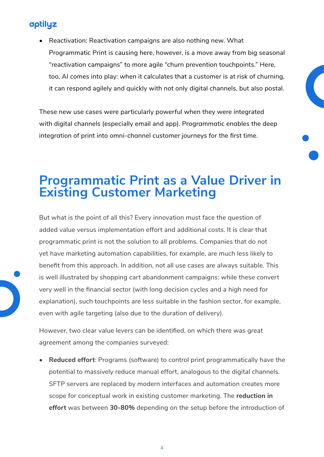• Reactivation: Reactivation campaigns are also nothing new. What Programmatic Print is causing here, however, is a move away from big seasonal "reactivation campaigns" to more agile "churn prevention touchpoints." Here, too, AI comes into play: when it calculates that a customer is at risk of churning, it can respond agilely and quickly with not only digital channels, but also postal.

These new use cases were particularly powerful when they were integrated with digital channels (especially email and app). Programmatic enables the deep integration of print into omni-channel customer journeys for the first time.

### **Programmatic Print as a Value Driver in Existing Customer Marketing**

But what is the point of all this? Every innovation must face the question of added value versus implementation effort and additional costs. It is clear that programmatic print is not the solution to all problems. Companies that do not yet have marketing automation capabilities, for example, are much less likely to benefit from this approach. In addition, not all use cases are always suitable. This is well illustrated by shopping cart abandonment campaigns: while these convert very well in the financial sector (with long decision cycles and a high need for explanation), such touchpoints are less suitable in the fashion sector, for example, even with agile targeting (also due to the duration of delivery).

However, two clear value levers can be identified, on which there was great agreement among the companies surveyed:

**• Reduced effort**: Programs (software) to control print programmatically have the potential to massively reduce manual effort, analogous to the digital channels. SFTP servers are replaced by modern interfaces and automation creates more scope for conceptual work in existing customer marketing. The **reduction in effort** was between **30-80%** depending on the setup before the introduction of

4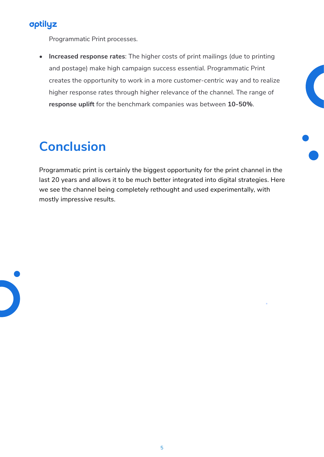

Programmatic Print processes.

**• Increased response rates**: The higher costs of print mailings (due to printing and postage) make high campaign success essential. Programmatic Print creates the opportunity to work in a more customer-centric way and to realize higher response rates through higher relevance of the channel. The range of **response uplift** for the benchmark companies was between **10-50%**.

### **Conclusion**

Programmatic print is certainly the biggest opportunity for the print channel in the last 20 years and allows it to be much better integrated into digital strategies. Here we see the channel being completely rethought and used experimentally, with mostly impressive results.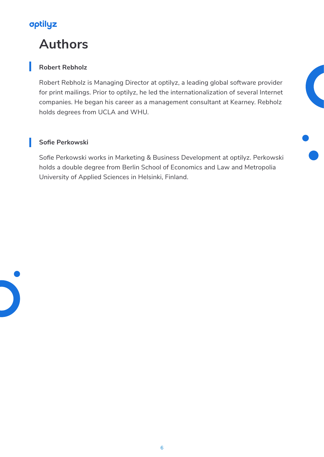### **Authors**

#### **Robert Rebholz**

Robert Rebholz is Managing Director at optilyz, a leading global software provider for print mailings. Prior to optilyz, he led the internationalization of several Internet companies. He began his career as a management consultant at Kearney. Rebholz holds degrees from UCLA and WHU.

#### **Sofie Perkowski**

Sofie Perkowski works in Marketing & Business Development at optilyz. Perkowski holds a double degree from Berlin School of Economics and Law and Metropolia University of Applied Sciences in Helsinki, Finland.